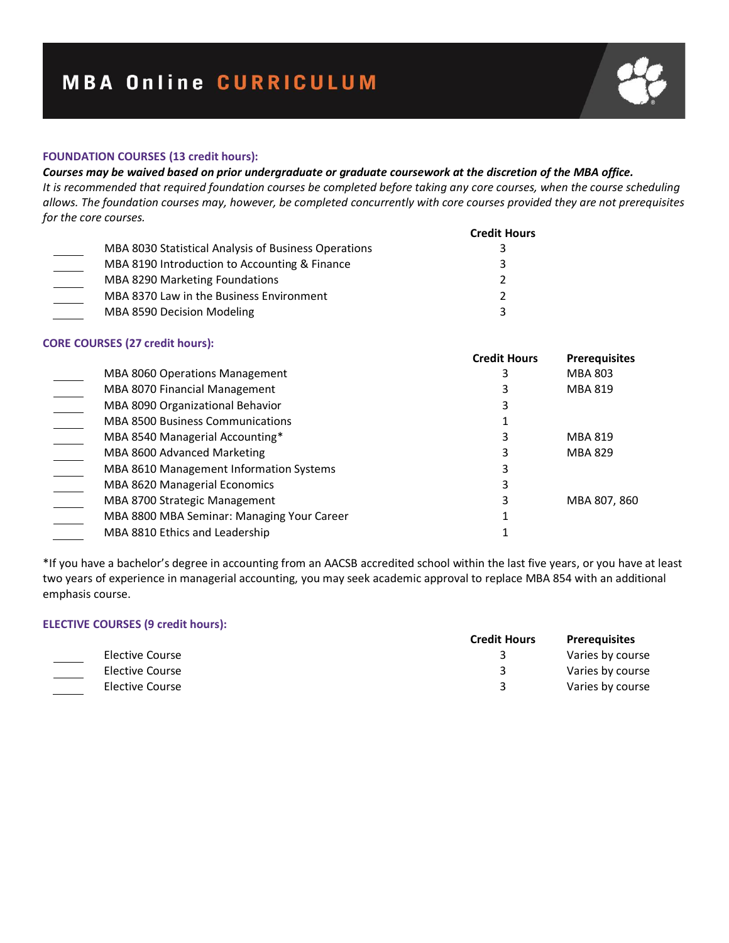# **FOUNDATION COURSES (13 credit hours):**

# *Courses may be waived based on prior undergraduate or graduate coursework at the discretion of the MBA office.*

*It is recommended that required foundation courses be completed before taking any core courses, when the course scheduling allows. The foundation courses may, however, be completed concurrently with core courses provided they are not prerequisites for the core courses.* 

|                                                      | <b>Credit Hours</b> |
|------------------------------------------------------|---------------------|
| MBA 8030 Statistical Analysis of Business Operations |                     |
| MBA 8190 Introduction to Accounting & Finance        | 3                   |
| <b>MBA 8290 Marketing Foundations</b>                | $\mathcal{P}$       |
| MBA 8370 Law in the Business Environment             | <u>ͻ</u>            |
| MBA 8590 Decision Modeling                           | 3                   |

#### **CORE COURSES (27 credit hours):**

|                                            | <b>Credit Hours</b> | <b>Prerequisites</b> |
|--------------------------------------------|---------------------|----------------------|
| MBA 8060 Operations Management             |                     | <b>MBA 803</b>       |
| MBA 8070 Financial Management              |                     | <b>MBA 819</b>       |
| MBA 8090 Organizational Behavior           |                     |                      |
| <b>MBA 8500 Business Communications</b>    |                     |                      |
| MBA 8540 Managerial Accounting*            |                     | <b>MBA 819</b>       |
| MBA 8600 Advanced Marketing                |                     | <b>MBA 829</b>       |
| MBA 8610 Management Information Systems    |                     |                      |
| MBA 8620 Managerial Economics              |                     |                      |
| MBA 8700 Strategic Management              |                     | MBA 807, 860         |
| MBA 8800 MBA Seminar: Managing Your Career |                     |                      |
| MBA 8810 Ethics and Leadership             |                     |                      |

\*If you have a bachelor's degree in accounting from an AACSB accredited school within the last five years, or you have at least two years of experience in managerial accounting, you may seek academic approval to replace MBA 854 with an additional emphasis course.

# **ELECTIVE COURSES (9 credit hours):**

|  |                 | <b>Credit Hours</b> | <b>Prerequisites</b> |
|--|-----------------|---------------------|----------------------|
|  | Elective Course |                     | Varies by course     |
|  | Elective Course |                     | Varies by course     |
|  | Elective Course |                     | Varies by course     |